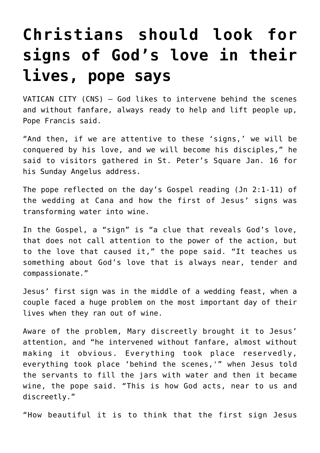## **[Christians should look for](https://www.osvnews.com/2022/01/18/christians-should-look-for-signs-of-gods-love-in-their-lives-pope-says/) [signs of God's love in their](https://www.osvnews.com/2022/01/18/christians-should-look-for-signs-of-gods-love-in-their-lives-pope-says/) [lives, pope says](https://www.osvnews.com/2022/01/18/christians-should-look-for-signs-of-gods-love-in-their-lives-pope-says/)**

VATICAN CITY (CNS) — God likes to intervene behind the scenes and without fanfare, always ready to help and lift people up, Pope Francis said.

"And then, if we are attentive to these 'signs,' we will be conquered by his love, and we will become his disciples," he said to visitors gathered in St. Peter's Square Jan. 16 for his Sunday Angelus address.

The pope reflected on the day's Gospel reading (Jn 2:1-11) of the wedding at Cana and how the first of Jesus' signs was transforming water into wine.

In the Gospel, a "sign" is "a clue that reveals God's love, that does not call attention to the power of the action, but to the love that caused it," the pope said. "It teaches us something about God's love that is always near, tender and compassionate."

Jesus' first sign was in the middle of a wedding feast, when a couple faced a huge problem on the most important day of their lives when they ran out of wine.

Aware of the problem, Mary discreetly brought it to Jesus' attention, and "he intervened without fanfare, almost without making it obvious. Everything took place reservedly, everything took place 'behind the scenes,'" when Jesus told the servants to fill the jars with water and then it became wine, the pope said. "This is how God acts, near to us and discreetly."

"How beautiful it is to think that the first sign Jesus